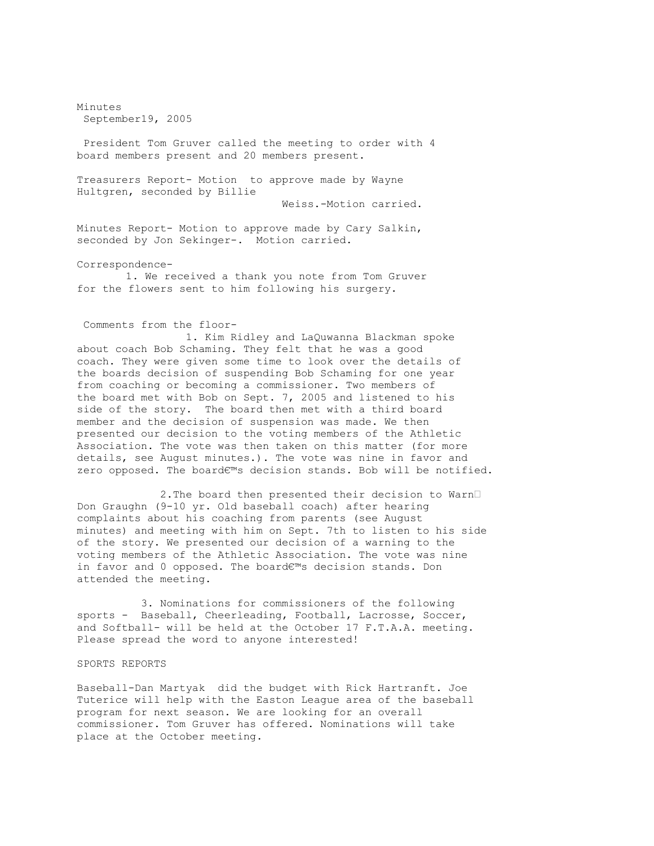Minutes September19, 2005

President Tom Gruver called the meeting to order with 4 board members present and 20 members present.

Treasurers Report- Motion to approve made by Wayne Hultgren, seconded by Billie

Weiss.-Motion carried.

Minutes Report- Motion to approve made by Cary Salkin, seconded by Jon Sekinger-. Motion carried.

Correspondence-

1. We received a thank you note from Tom Gruver for the flowers sent to him following his surgery.

## Comments from the floor-

1. Kim Ridley and LaQuwanna Blackman spoke about coach Bob Schaming. They felt that he was a good coach. They were given some time to look over the details of the boards decision of suspending Bob Schaming for one year from coaching or becoming a commissioner. Two members of the board met with Bob on Sept. 7, 2005 and listened to his side of the story. The board then met with a third board member and the decision of suspension was made. We then presented our decision to the voting members of the Athletic Association. The vote was then taken on this matter (for more details, see August minutes.). The vote was nine in favor and zero opposed. The board€™s decision stands. Bob will be notified.

2.The board then presented their decision to Warn• Don Graughn (9-10 yr. Old baseball coach) after hearing complaints about his coaching from parents (see August minutes) and meeting with him on Sept. 7th to listen to his side of the story. We presented our decision of a warning to the voting members of the Athletic Association. The vote was nine in favor and 0 opposed. The board€™s decision stands. Don attended the meeting.

3. Nominations for commissioners of the following sports - Baseball, Cheerleading, Football, Lacrosse, Soccer, and Softball- will be held at the October 17 F.T.A.A. meeting. Please spread the word to anyone interested!

## SPORTS REPORTS

Baseball-Dan Martyak did the budget with Rick Hartranft. Joe Tuterice will help with the Easton League area of the baseball program for next season. We are looking for an overall commissioner. Tom Gruver has offered. Nominations will take place at the October meeting.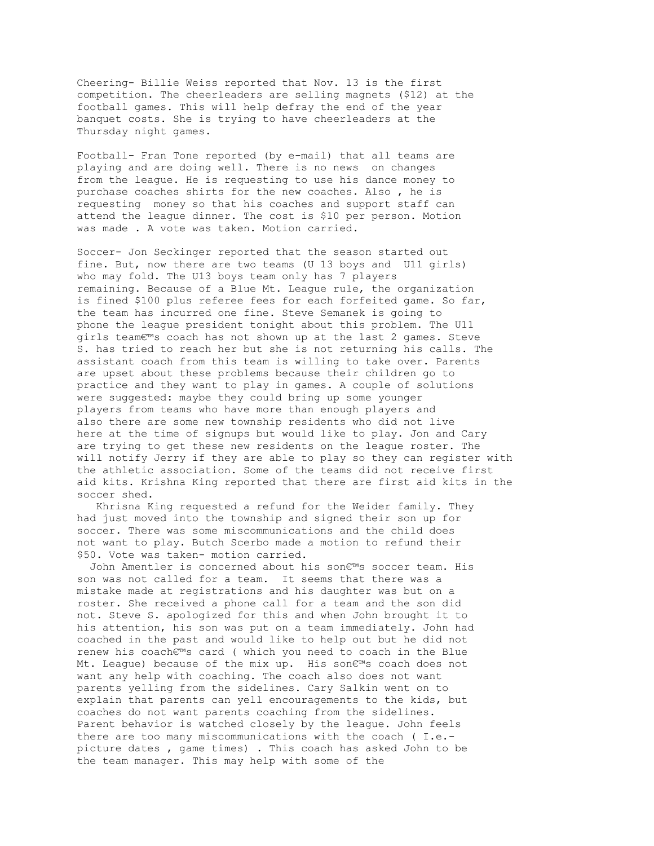Cheering- Billie Weiss reported that Nov. 13 is the first competition. The cheerleaders are selling magnets (\$12) at the football games. This will help defray the end of the year banquet costs. She is trying to have cheerleaders at the Thursday night games.

Football- Fran Tone reported (by e-mail) that all teams are playing and are doing well. There is no news on changes from the league. He is requesting to use his dance money to purchase coaches shirts for the new coaches. Also , he is requesting money so that his coaches and support staff can attend the league dinner. The cost is \$10 per person. Motion was made . A vote was taken. Motion carried.

Soccer- Jon Seckinger reported that the season started out fine. But, now there are two teams (U 13 boys and U11 girls) who may fold. The U13 boys team only has 7 players remaining. Because of a Blue Mt. League rule, the organization is fined \$100 plus referee fees for each forfeited game. So far, the team has incurred one fine. Steve Semanek is going to phone the league president tonight about this problem. The U11 girls team€™s coach has not shown up at the last 2 games. Steve S. has tried to reach her but she is not returning his calls. The assistant coach from this team is willing to take over. Parents are upset about these problems because their children go to practice and they want to play in games. A couple of solutions were suggested: maybe they could bring up some younger players from teams who have more than enough players and also there are some new township residents who did not live here at the time of signups but would like to play. Jon and Cary are trying to get these new residents on the league roster. The will notify Jerry if they are able to play so they can register with the athletic association. Some of the teams did not receive first aid kits. Krishna King reported that there are first aid kits in the soccer shed.

Khrisna King requested a refund for the Weider family. They had just moved into the township and signed their son up for soccer. There was some miscommunications and the child does not want to play. Butch Scerbo made a motion to refund their \$50. Vote was taken- motion carried.

John Amentler is concerned about his son€™s soccer team. His son was not called for a team. It seems that there was a mistake made at registrations and his daughter was but on a roster. She received a phone call for a team and the son did not. Steve S. apologized for this and when John brought it to his attention, his son was put on a team immediately. John had coached in the past and would like to help out but he did not renew his coach€™s card ( which you need to coach in the Blue Mt. League) because of the mix up. His son€™s coach does not want any help with coaching. The coach also does not want parents yelling from the sidelines. Cary Salkin went on to explain that parents can yell encouragements to the kids, but coaches do not want parents coaching from the sidelines. Parent behavior is watched closely by the league. John feels there are too many miscommunications with the coach ( I.e. picture dates , game times) . This coach has asked John to be the team manager. This may help with some of the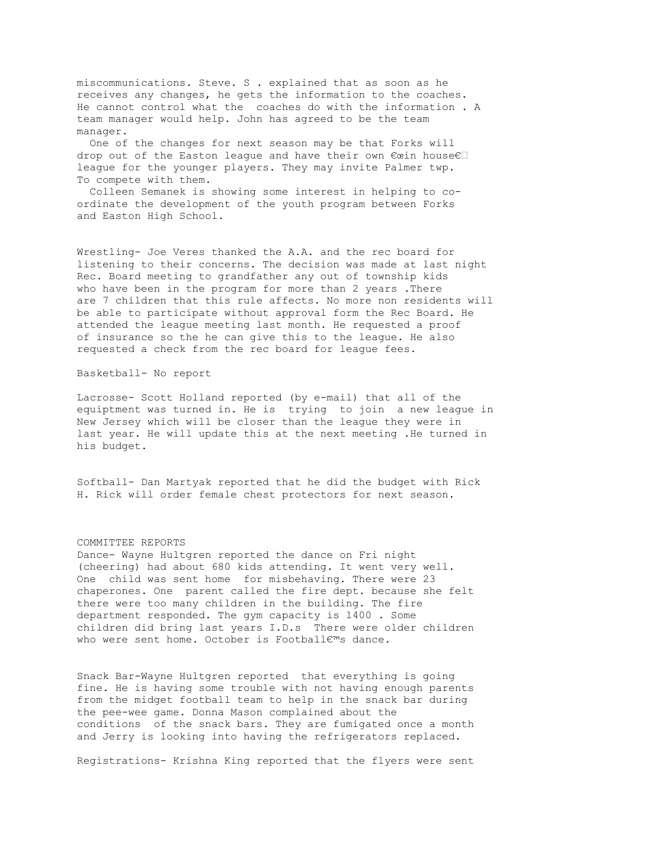miscommunications. Steve. S . explained that as soon as he receives any changes, he gets the information to the coaches. He cannot control what the coaches do with the information . A team manager would help. John has agreed to be the team manager.

One of the changes for next season may be that Forks will drop out of the Easton league and have their own €œin house€• league for the younger players. They may invite Palmer twp. To compete with them.

Colleen Semanek is showing some interest in helping to coordinate the development of the youth program between Forks and Easton High School.

Wrestling- Joe Veres thanked the A.A. and the rec board for listening to their concerns. The decision was made at last night Rec. Board meeting to grandfather any out of township kids who have been in the program for more than 2 years . There are 7 children that this rule affects. No more non residents will be able to participate without approval form the Rec Board. He attended the league meeting last month. He requested a proof of insurance so the he can give this to the league. He also requested a check from the rec board for league fees.

## Basketball- No report

Lacrosse- Scott Holland reported (by e-mail) that all of the equiptment was turned in. He is trying to join a new league in New Jersey which will be closer than the league they were in last year. He will update this at the next meeting .He turned in his budget.

Softball- Dan Martyak reported that he did the budget with Rick H. Rick will order female chest protectors for next season.

## COMMITTEE REPORTS

Dance- Wayne Hultgren reported the dance on Fri night (cheering) had about 680 kids attending. It went very well. One child was sent home for misbehaving. There were 23 chaperones. One parent called the fire dept. because she felt there were too many children in the building. The fire department responded. The gym capacity is 1400 . Some children did bring last years I.D.s There were older children who were sent home. October is Football€™s dance.

Snack Bar-Wayne Hultgren reported that everything is going fine. He is having some trouble with not having enough parents from the midget football team to help in the snack bar during the pee-wee game. Donna Mason complained about the conditions of the snack bars. They are fumigated once a month and Jerry is looking into having the refrigerators replaced.

Registrations- Krishna King reported that the flyers were sent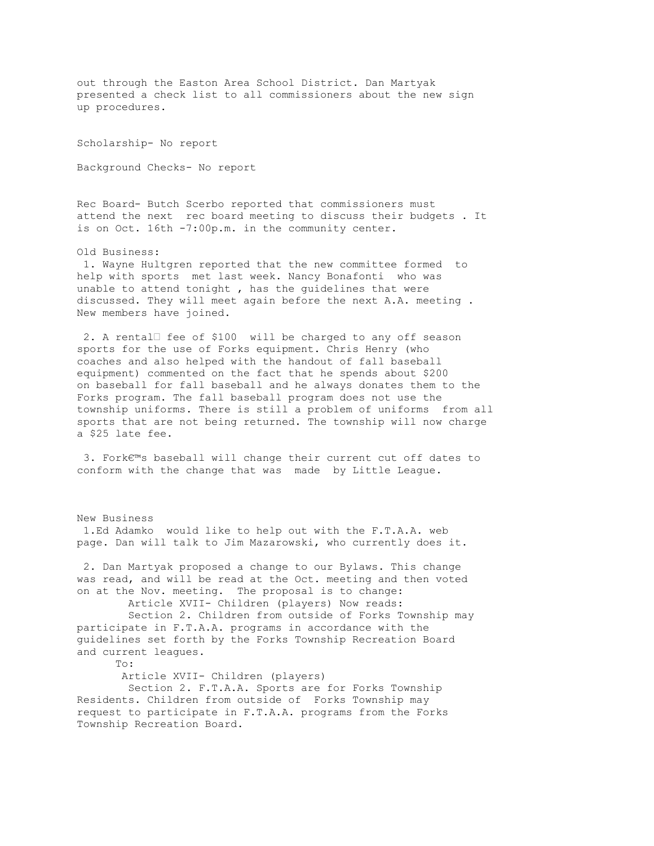out through the Easton Area School District. Dan Martyak presented a check list to all commissioners about the new sign up procedures.

Scholarship- No report

Background Checks- No report

Rec Board- Butch Scerbo reported that commissioners must attend the next rec board meeting to discuss their budgets . It is on Oct. 16th -7:00p.m. in the community center.

Old Business: 1. Wayne Hultgren reported that the new committee formed to help with sports met last week. Nancy Bonafonti who was unable to attend tonight , has the guidelines that were discussed. They will meet again before the next A.A. meeting . New members have joined.

2. A rental• fee of \$100 will be charged to any off season sports for the use of Forks equipment. Chris Henry (who coaches and also helped with the handout of fall baseball equipment) commented on the fact that he spends about \$200 on baseball for fall baseball and he always donates them to the Forks program. The fall baseball program does not use the township uniforms. There is still a problem of uniforms from all sports that are not being returned. The township will now charge a \$25 late fee.

3. Fork€™s baseball will change their current cut off dates to conform with the change that was made by Little League.

New Business 1.Ed Adamko would like to help out with the F.T.A.A. web page. Dan will talk to Jim Mazarowski, who currently does it. 2. Dan Martyak proposed a change to our Bylaws. This change was read, and will be read at the Oct. meeting and then voted on at the Nov. meeting. The proposal is to change: Article XVII- Children (players) Now reads: Section 2. Children from outside of Forks Township may participate in F.T.A.A. programs in accordance with the guidelines set forth by the Forks Township Recreation Board and current leagues. To: Article XVII- Children (players)

Section 2. F.T.A.A. Sports are for Forks Township Residents. Children from outside of Forks Township may request to participate in F.T.A.A. programs from the Forks Township Recreation Board.